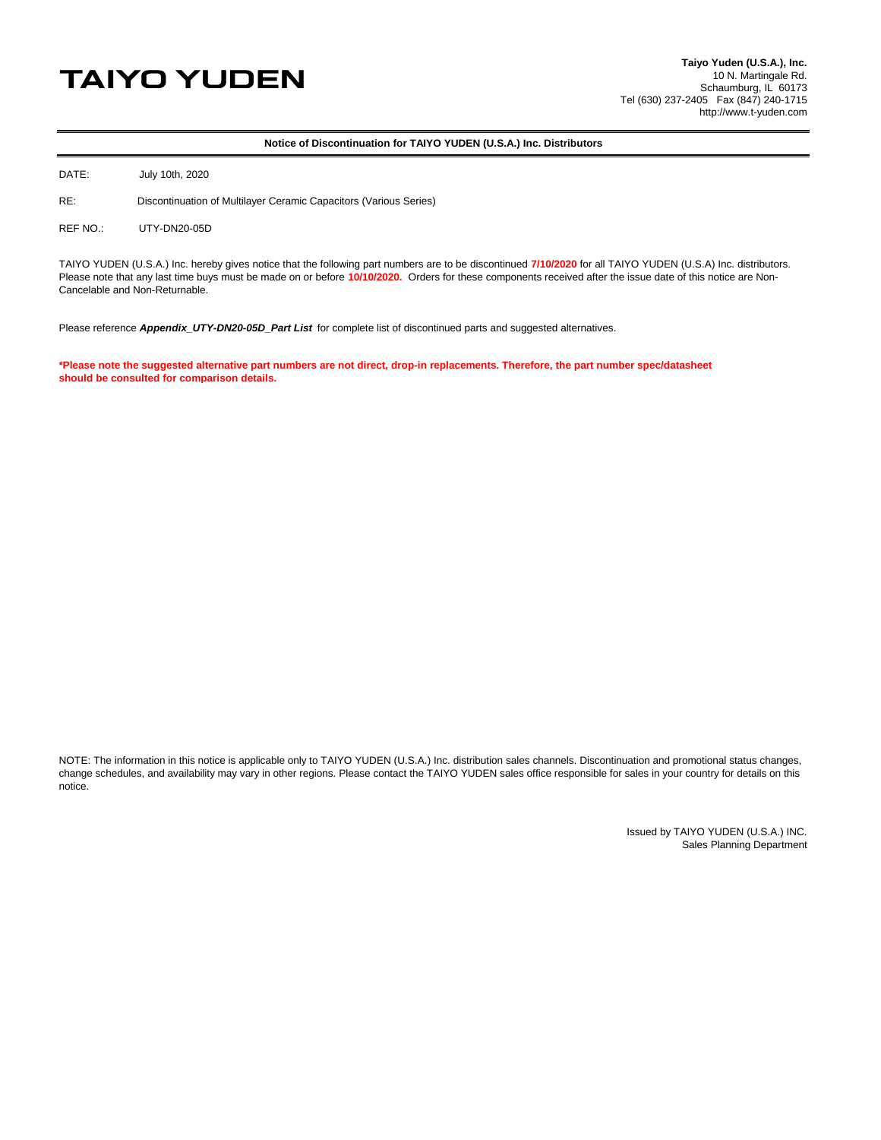## **TAIYO YUDEN**

## **Notice of Discontinuation for TAIYO YUDEN (U.S.A.) Inc. Distributors**

DATE: July 10th, 2020

RE: Discontinuation of Multilayer Ceramic Capacitors (Various Series)

REF NO.: UTY-DN20-05D

TAIYO YUDEN (U.S.A.) Inc. hereby gives notice that the following part numbers are to be discontinued **7/10/2020** for all TAIYO YUDEN (U.S.A) Inc. distributors. Please note that any last time buys must be made on or before **10/10/2020.** Orders for these components received after the issue date of this notice are Non-Cancelable and Non-Returnable.

Please reference *Appendix UTY-DN20-05D Part List* for complete list of discontinued parts and suggested alternatives.

**\*Please note the suggested alternative part numbers are not direct, drop-in replacements. Therefore, the part number spec/datasheet should be consulted for comparison details.**

NOTE: The information in this notice is applicable only to TAIYO YUDEN (U.S.A.) Inc. distribution sales channels. Discontinuation and promotional status changes, change schedules, and availability may vary in other regions. Please contact the TAIYO YUDEN sales office responsible for sales in your country for details on this notice.

> Issued by TAIYO YUDEN (U.S.A.) INC. Sales Planning Department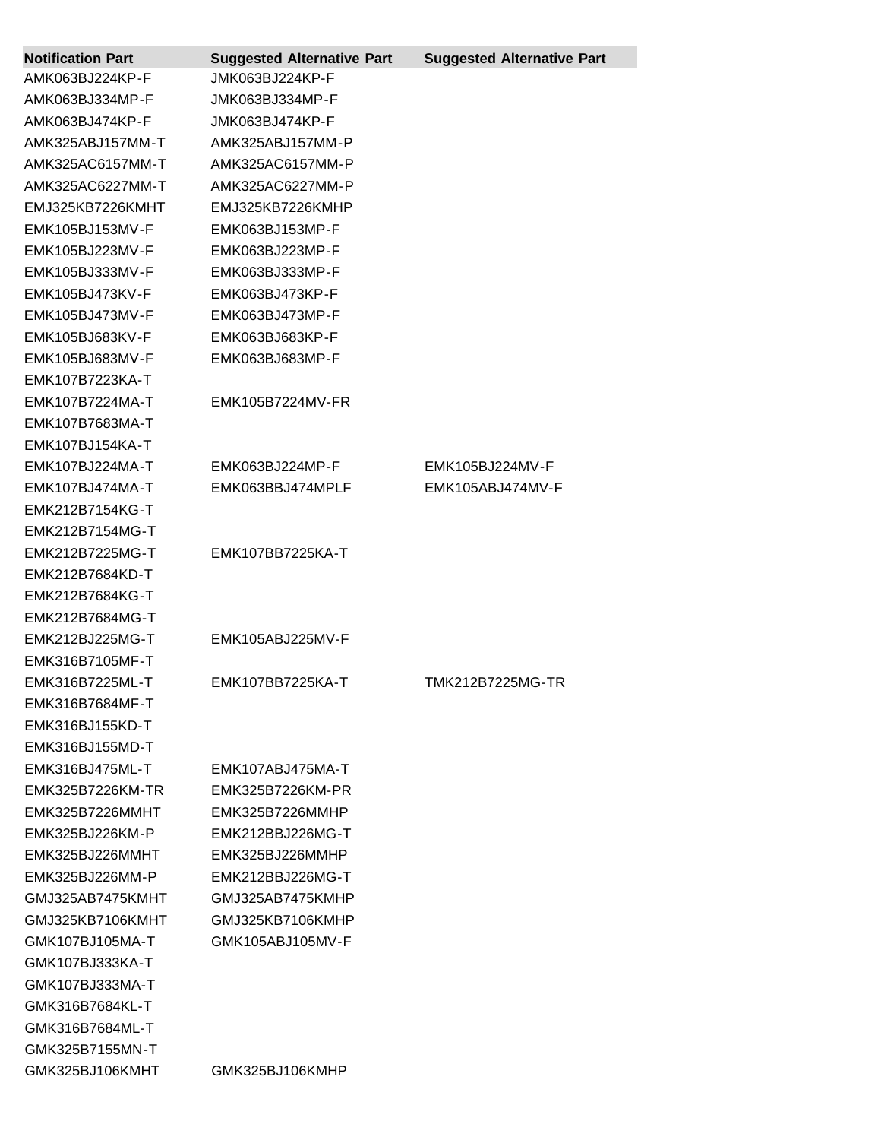| <b>Notification Part</b> | <b>Suggested Alternative Part</b> | <b>Suggested Alternative Part</b> |
|--------------------------|-----------------------------------|-----------------------------------|
| AMK063BJ224KP-F          | JMK063BJ224KP-F                   |                                   |
| AMK063BJ334MP-F          | JMK063BJ334MP-F                   |                                   |
| AMK063BJ474KP-F          | JMK063BJ474KP-F                   |                                   |
| AMK325ABJ157MM-T         | AMK325ABJ157MM-P                  |                                   |
| AMK325AC6157MM-T         | AMK325AC6157MM-P                  |                                   |
| AMK325AC6227MM-T         | AMK325AC6227MM-P                  |                                   |
| EMJ325KB7226KMHT         | EMJ325KB7226KMHP                  |                                   |
| EMK105BJ153MV-F          | EMK063BJ153MP-F                   |                                   |
| EMK105BJ223MV-F          | EMK063BJ223MP-F                   |                                   |
| EMK105BJ333MV-F          | EMK063BJ333MP-F                   |                                   |
| EMK105BJ473KV-F          | EMK063BJ473KP-F                   |                                   |
| EMK105BJ473MV-F          | EMK063BJ473MP-F                   |                                   |
| EMK105BJ683KV-F          | EMK063BJ683KP-F                   |                                   |
| EMK105BJ683MV-F          | EMK063BJ683MP-F                   |                                   |
| EMK107B7223KA-T          |                                   |                                   |
| EMK107B7224MA-T          | EMK105B7224MV-FR                  |                                   |
| EMK107B7683MA-T          |                                   |                                   |
| <b>EMK107BJ154KA-T</b>   |                                   |                                   |
| EMK107BJ224MA-T          | EMK063BJ224MP-F                   | EMK105BJ224MV-F                   |
| EMK107BJ474MA-T          | EMK063BBJ474MPLF                  | EMK105ABJ474MV-F                  |
| EMK212B7154KG-T          |                                   |                                   |
| EMK212B7154MG-T          |                                   |                                   |
| EMK212B7225MG-T          | EMK107BB7225KA-T                  |                                   |
| EMK212B7684KD-T          |                                   |                                   |
| EMK212B7684KG-T          |                                   |                                   |
| EMK212B7684MG-T          |                                   |                                   |
| EMK212BJ225MG-T          | EMK105ABJ225MV-F                  |                                   |
| EMK316B7105MF-T          |                                   |                                   |
| EMK316B7225ML-T          | EMK107BB7225KA-T                  | TMK212B7225MG-TR                  |
| EMK316B7684MF-T          |                                   |                                   |
| EMK316BJ155KD-T          |                                   |                                   |
| EMK316BJ155MD-T          |                                   |                                   |
| EMK316BJ475ML-T          | EMK107ABJ475MA-T                  |                                   |
| EMK325B7226KM-TR         | EMK325B7226KM-PR                  |                                   |
| EMK325B7226MMHT          | EMK325B7226MMHP                   |                                   |
| EMK325BJ226KM-P          | EMK212BBJ226MG-T                  |                                   |
| EMK325BJ226MMHT          | EMK325BJ226MMHP                   |                                   |
| EMK325BJ226MM-P          | EMK212BBJ226MG-T                  |                                   |
| GMJ325AB7475KMHT         | GMJ325AB7475KMHP                  |                                   |
| GMJ325KB7106KMHT         | GMJ325KB7106KMHP                  |                                   |
| GMK107BJ105MA-T          | GMK105ABJ105MV-F                  |                                   |
| GMK107BJ333KA-T          |                                   |                                   |
| GMK107BJ333MA-T          |                                   |                                   |
| GMK316B7684KL-T          |                                   |                                   |
| GMK316B7684ML-T          |                                   |                                   |
| GMK325B7155MN-T          |                                   |                                   |
| GMK325BJ106KMHT          | GMK325BJ106KMHP                   |                                   |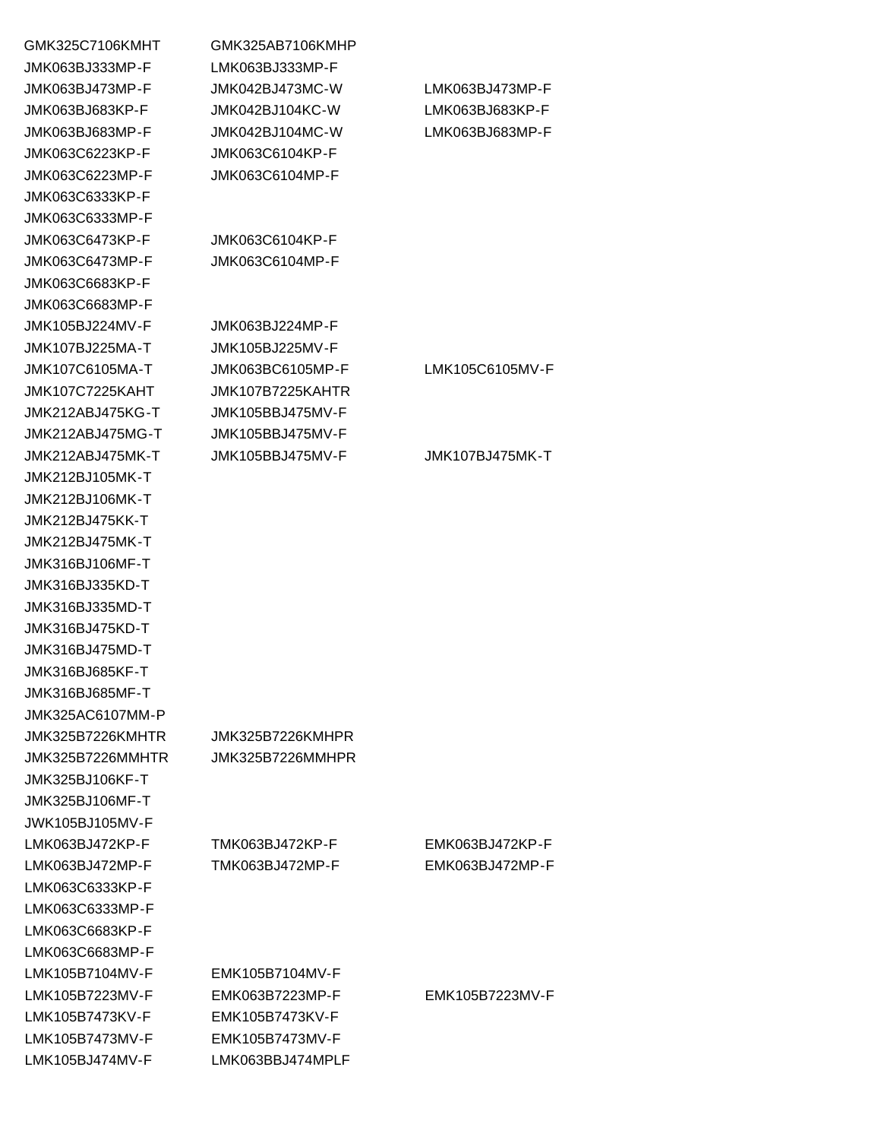| GMK325C7106KMHT  | GMK325AB7106KMHP |
|------------------|------------------|
| JMK063BJ333MP-F  | LMK063BJ333MP-F  |
| JMK063BJ473MP-F  | JMK042BJ473MC-W  |
| JMK063BJ683KP-F  | JMK042BJ104KC-W  |
| JMK063BJ683MP-F  | JMK042BJ104MC-W  |
| JMK063C6223KP-F  | JMK063C6104KP-F  |
| JMK063C6223MP-F  | JMK063C6104MP-F  |
| JMK063C6333KP-F  |                  |
| JMK063C6333MP-F  |                  |
| JMK063C6473KP-F  | JMK063C6104KP-F  |
| JMK063C6473MP-F  | JMK063C6104MP-F  |
| JMK063C6683KP-F  |                  |
| JMK063C6683MP-F  |                  |
| JMK105BJ224MV-F  | JMK063BJ224MP-F  |
| JMK107BJ225MA-T  | JMK105BJ225MV-F  |
| JMK107C6105MA-T  | JMK063BC6105MP-F |
| JMK107C7225KAHT  | JMK107B7225KAHTR |
| JMK212ABJ475KG-T | JMK105BBJ475MV-F |
| JMK212ABJ475MG-T | JMK105BBJ475MV-F |
| JMK212ABJ475MK-T | JMK105BBJ475MV-F |
| JMK212BJ105MK-T  |                  |
| JMK212BJ106MK-T  |                  |
| JMK212BJ475KK-T  |                  |
| JMK212BJ475MK-T  |                  |
| JMK316BJ106MF-T  |                  |
| JMK316BJ335KD-T  |                  |
| JMK316BJ335MD-T  |                  |
| JMK316BJ475KD-T  |                  |
| JMK316BJ475MD-T  |                  |
| JMK316BJ685KF-T  |                  |
| JMK316BJ685MF-T  |                  |
| JMK325AC6107MM-P |                  |
| JMK325B7226KMHTR | JMK325B7226KMHPR |
| JMK325B7226MMHTR | JMK325B7226MMHPR |
| JMK325BJ106KF-T  |                  |
| JMK325BJ106MF-T  |                  |
| JWK105BJ105MV-F  |                  |
| LMK063BJ472KP-F  | TMK063BJ472KP-F  |
| LMK063BJ472MP-F  | TMK063BJ472MP-F  |
| LMK063C6333KP-F  |                  |
| LMK063C6333MP-F  |                  |
| LMK063C6683KP-F  |                  |
|                  |                  |
| LMK063C6683MP-F  |                  |
| LMK105B7104MV-F  | EMK105B7104MV-F  |
| LMK105B7223MV-F  | EMK063B7223MP-F  |
| LMK105B7473KV-F  | EMK105B7473KV-F  |
| LMK105B7473MV-F  | EMK105B7473MV-F  |
| LMK105BJ474MV-F  | LMK063BBJ474MPLF |

| JMK063BJ473MP-F  | JMK042BJ473MC-W  | LMK063BJ473MP-F |
|------------------|------------------|-----------------|
| JMK063BJ683KP-F  | JMK042BJ104KC-W  | LMK063BJ683KP-F |
| JMK063BJ683MP-F  | JMK042BJ104MC-W  | LMK063BJ683MP-F |
| JMK063C6223KP-F  | JMK063C6104KP-F  |                 |
| JMK063C6223MP-F  | JMK063C6104MP-F  |                 |
| JMK063C6333KP-F  |                  |                 |
| JMK063C6333MP-F  |                  |                 |
| JMK063C6473KP-F  | JMK063C6104KP-F  |                 |
| JMK063C6473MP-F  | JMK063C6104MP-F  |                 |
| JMK063C6683KP-F  |                  |                 |
| JMK063C6683MP-F  |                  |                 |
| JMK105BJ224MV-F  | JMK063BJ224MP-F  |                 |
| JMK107BJ225MA-T  | JMK105BJ225MV-F  |                 |
| JMK107C6105MA-T  | JMK063BC6105MP-F | LMK105C6105MV-F |
| JMK107C7225KAHT  | JMK107B7225KAHTR |                 |
| JMK212ABJ475KG-T | JMK105BBJ475MV-F |                 |
| JMK212ABJ475MG-T | JMK105BBJ475MV-F |                 |
| JMK212ABJ475MK-T | JMK105BBJ475MV-F | JMK107BJ475MK-T |
| JMK212BJ105MK-T  |                  |                 |
| JMK212BJ106MK-T  |                  |                 |
| JMK212BJ475KK-T  |                  |                 |
| JMK212BJ475MK-T  |                  |                 |
| JMK316BJ106MF-T  |                  |                 |
| JMK316BJ335KD-T  |                  |                 |
| JMK316BJ335MD-T  |                  |                 |
| JMK316BJ475KD-T  |                  |                 |
| JMK316BJ475MD-T  |                  |                 |
| JMK316BJ685KF-T  |                  |                 |
| JMK316BJ685MF-T  |                  |                 |
| JMK325AC6107MM-P |                  |                 |
| JMK325B7226KMHTR | JMK325B7226KMHPR |                 |
| JMK325B7226MMHTR | JMK325B7226MMHPR |                 |
| JMK325BJ106KF-T  |                  |                 |
| JMK325BJ106MF-T  |                  |                 |
| JWK105BJ105MV-F  |                  |                 |
| LMK063BJ472KP-F  | TMK063BJ472KP-F  | EMK063BJ472KP-F |
| LMK063BJ472MP-F  | TMK063BJ472MP-F  | EMK063BJ472MP-F |
| LMK063C6333KP-F  |                  |                 |
| LMK063C6333MP-F  |                  |                 |
| LMK063C6683KP-F  |                  |                 |
| LMK063C6683MP-F  |                  |                 |
| LMK105B7104MV-F  | EMK105B7104MV-F  |                 |
| LMK105B7223MV-F  | EMK063B7223MP-F  | EMK105B7223MV-F |
| LMK105B7473KV-F  | EMK105B7473KV-F  |                 |
| LMK105B7473MV-F  | EMK105B7473MV-F  |                 |
| LMK105BJ474MV-F  | LMK063BBJ474MPLF |                 |
|                  |                  |                 |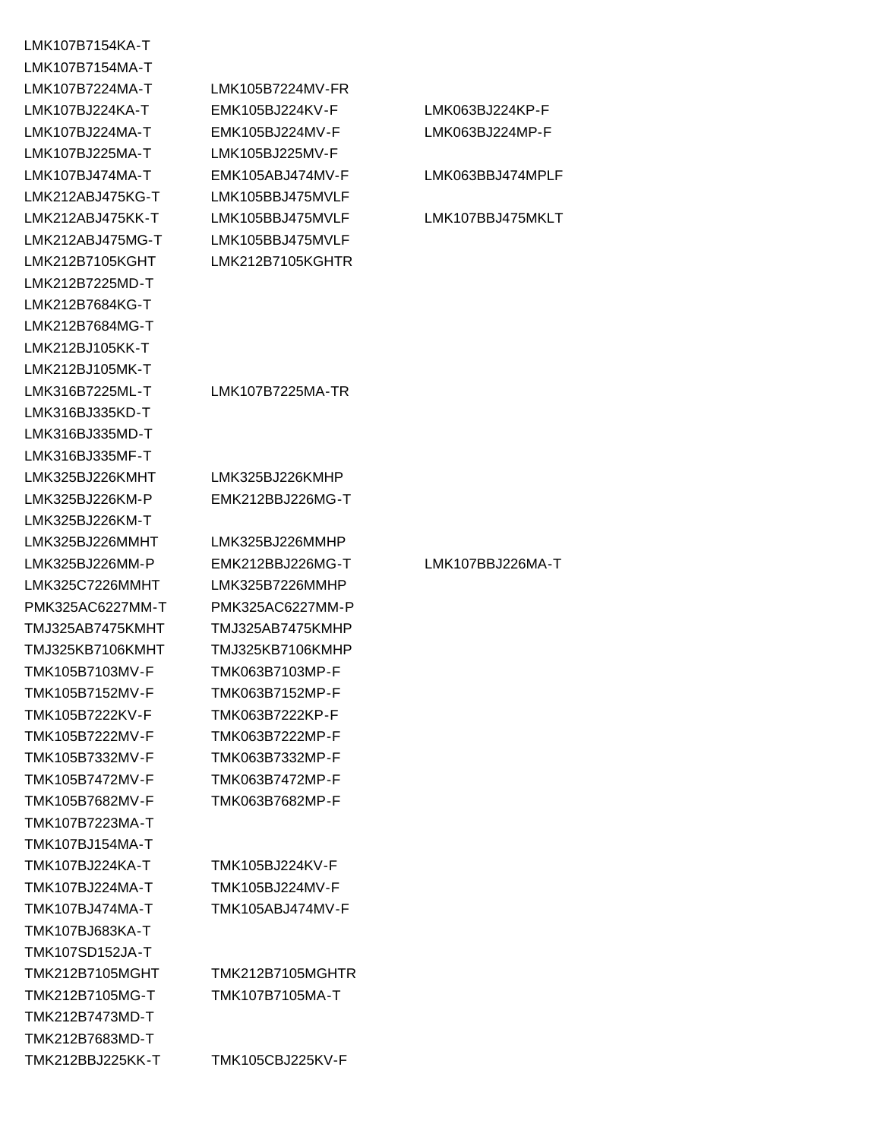LMK107B7154KA-T LMK107B7154MA-T LMK107B7224MA-T LMK105B7224MV-FR LMK107BJ225MA-T LMK105BJ225MV-F LMK212ABJ475KG-T LMK105BBJ475MVLF LMK212ABJ475MG-T LMK105BBJ475MVLF LMK212B7105KGHT LMK212B7105KGHTR LMK212B7225MD-T LMK212B7684KG-T LMK212B7684MG-T LMK212BJ105KK-T LMK212BJ105MK-T LMK316B7225ML-T LMK107B7225MA-TR LMK316BJ335KD-T LMK316BJ335MD-T LMK316BJ335MF-T LMK325BJ226KMHT LMK325BJ226KMHP LMK325BJ226KM-P EMK212BBJ226MG-T LMK325BJ226KM-T LMK325BJ226MMHT LMK325BJ226MMHP LMK325C7226MMHT LMK325B7226MMHP PMK325AC6227MM-T PMK325AC6227MM-P TMJ325AB7475KMHT TMJ325AB7475KMHP TMJ325KB7106KMHT TMJ325KB7106KMHP TMK105B7103MV-F TMK063B7103MP-F TMK105B7152MV-F TMK063B7152MP-F TMK105B7222KV-F TMK063B7222KP-F TMK105B7222MV-F TMK063B7222MP-F TMK105B7332MV-F TMK063B7332MP-F TMK105B7472MV-F TMK063B7472MP-F TMK105B7682MV-F TMK063B7682MP-F TMK107B7223MA-T TMK107BJ154MA-T TMK107BJ224KA-T TMK105BJ224KV-F TMK107BJ224MA-T TMK105BJ224MV-F TMK107BJ474MA-T TMK105ABJ474MV-F TMK107BJ683KA-T TMK107SD152JA-T TMK212B7105MG-T TMK107B7105MA-T TMK212B7473MD-T TMK212B7683MD-T TMK212BBJ225KK-T TMK105CBJ225KV-F

LMK107BJ224KA-T EMK105BJ224KV-F LMK063BJ224KP-F LMK107BJ224MA-T EMK105BJ224MV-F LMK063BJ224MP-F LMK107BJ474MA-T EMK105ABJ474MV-F LMK063BBJ474MPLF LMK212ABJ475KK-T LMK105BBJ475MVLF LMK107BBJ475MKLT LMK325BJ226MM-P EMK212BBJ226MG-T LMK107BBJ226MA-T TMK212B7105MGHT TMK212B7105MGHTR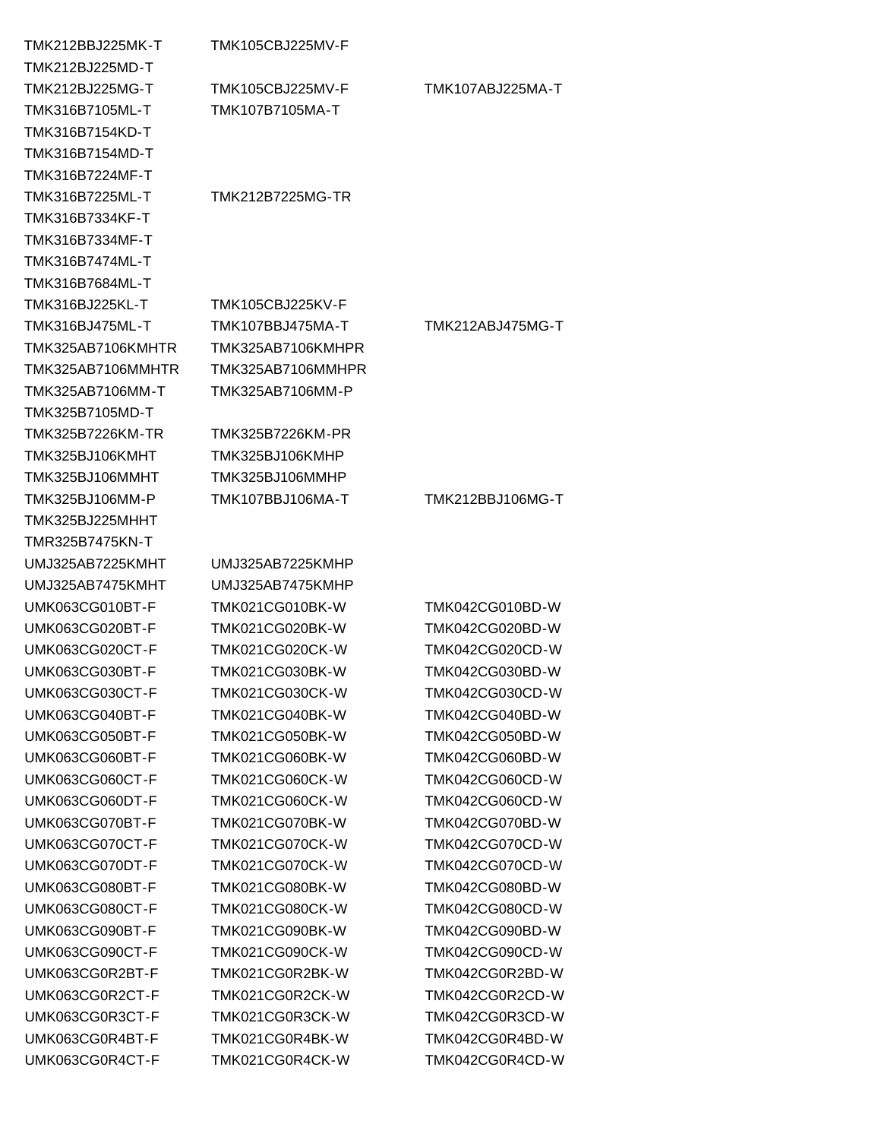| TMK212BBJ225MK-T       | TMK105CBJ225MV-F       |                        |
|------------------------|------------------------|------------------------|
| TMK212BJ225MD-T        |                        |                        |
| TMK212BJ225MG-T        | TMK105CBJ225MV-F       | TMK107ABJ225MA-T       |
| TMK316B7105ML-T        | TMK107B7105MA-T        |                        |
| TMK316B7154KD-T        |                        |                        |
| TMK316B7154MD-T        |                        |                        |
| TMK316B7224MF-T        |                        |                        |
| TMK316B7225ML-T        | TMK212B7225MG-TR       |                        |
| TMK316B7334KF-T        |                        |                        |
| TMK316B7334MF-T        |                        |                        |
| TMK316B7474ML-T        |                        |                        |
| TMK316B7684ML-T        |                        |                        |
| TMK316BJ225KL-T        | TMK105CBJ225KV-F       |                        |
| TMK316BJ475ML-T        | TMK107BBJ475MA-T       | TMK212ABJ475MG-T       |
| TMK325AB7106KMHTR      | TMK325AB7106KMHPR      |                        |
| TMK325AB7106MMHTR      | TMK325AB7106MMHPR      |                        |
| TMK325AB7106MM-T       | TMK325AB7106MM-P       |                        |
| TMK325B7105MD-T        |                        |                        |
| TMK325B7226KM-TR       | TMK325B7226KM-PR       |                        |
| TMK325BJ106KMHT        | TMK325BJ106KMHP        |                        |
| TMK325BJ106MMHT        | TMK325BJ106MMHP        |                        |
| TMK325BJ106MM-P        | TMK107BBJ106MA-T       | TMK212BBJ106MG-T       |
| TMK325BJ225MHHT        |                        |                        |
| TMR325B7475KN-T        |                        |                        |
| UMJ325AB7225KMHT       | UMJ325AB7225KMHP       |                        |
| UMJ325AB7475KMHT       | UMJ325AB7475KMHP       |                        |
| UMK063CG010BT-F        | <b>TMK021CG010BK-W</b> | TMK042CG010BD-W        |
| UMK063CG020BT-F        | TMK021CG020BK-W        | TMK042CG020BD-W        |
| UMK063CG020CT-F        | TMK021CG020CK-W        | TMK042CG020CD-W        |
| UMK063CG030BT-F        | TMK021CG030BK-W        | TMK042CG030BD-W        |
| UMK063CG030CT-F        | TMK021CG030CK-W        | TMK042CG030CD-W        |
| UMK063CG040BT-F        | <b>TMK021CG040BK-W</b> | TMK042CG040BD-W        |
| UMK063CG050BT-F        | <b>TMK021CG050BK-W</b> | TMK042CG050BD-W        |
| UMK063CG060BT-F        | <b>TMK021CG060BK-W</b> | TMK042CG060BD-W        |
| UMK063CG060CT-F        | TMK021CG060CK-W        | TMK042CG060CD-W        |
| UMK063CG060DT-F        | TMK021CG060CK-W        | TMK042CG060CD-W        |
| UMK063CG070BT-F        | <b>TMK021CG070BK-W</b> | TMK042CG070BD-W        |
| UMK063CG070CT-F        | <b>TMK021CG070CK-W</b> | TMK042CG070CD-W        |
| UMK063CG070DT-F        | <b>TMK021CG070CK-W</b> | <b>TMK042CG070CD-W</b> |
| UMK063CG080BT-F        | TMK021CG080BK-W        | TMK042CG080BD-W        |
|                        |                        |                        |
| <b>UMK063CG080CT-F</b> | TMK021CG080CK-W        | TMK042CG080CD-W        |
| UMK063CG090BT-F        | TMK021CG090BK-W        | TMK042CG090BD-W        |
| UMK063CG090CT-F        | TMK021CG090CK-W        | TMK042CG090CD-W        |
| UMK063CG0R2BT-F        | TMK021CG0R2BK-W        | TMK042CG0R2BD-W        |
| UMK063CG0R2CT-F        | TMK021CG0R2CK-W        | TMK042CG0R2CD-W        |
| UMK063CG0R3CT-F        | TMK021CG0R3CK-W        | TMK042CG0R3CD-W        |
| UMK063CG0R4BT-F        | TMK021CG0R4BK-W        | TMK042CG0R4BD-W        |
| UMK063CG0R4CT-F        | TMK021CG0R4CK-W        | TMK042CG0R4CD-W        |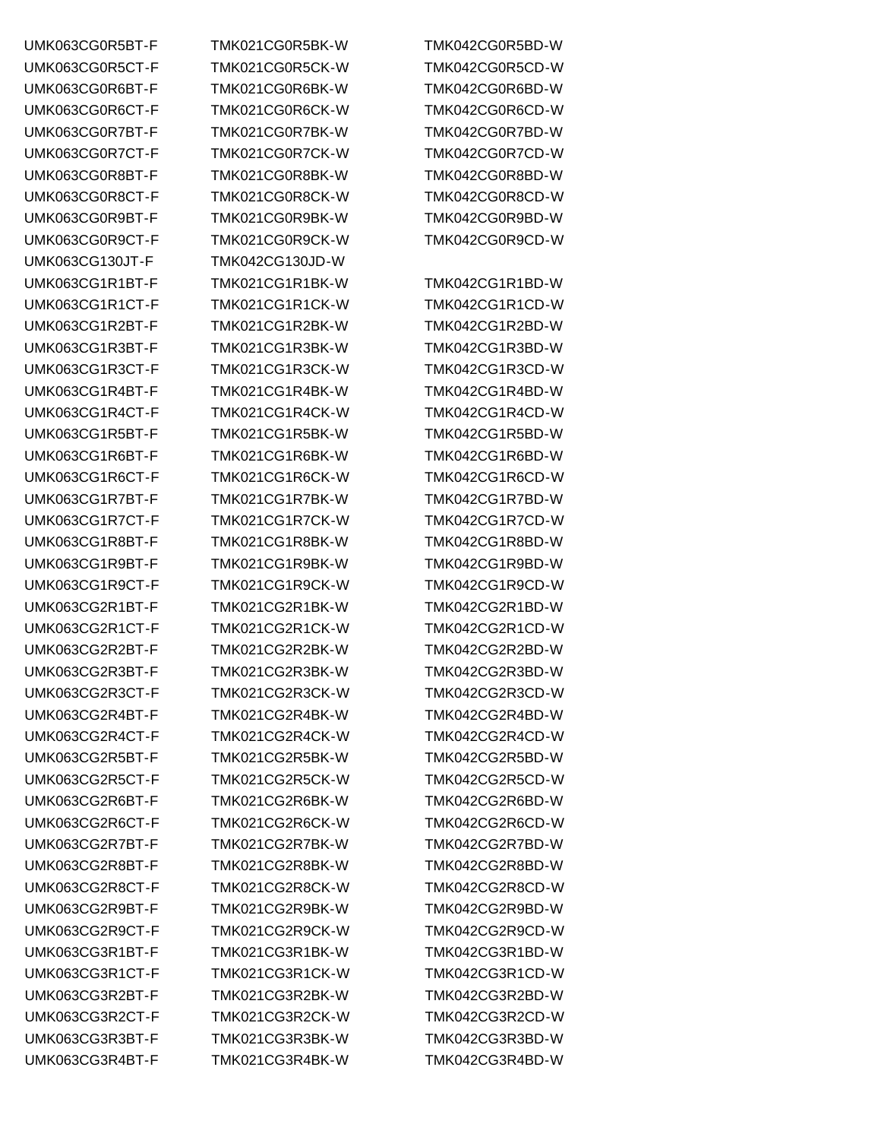UMK063CG130JT-F TMK042CG130JD-W

UMK063CG0R5BT-F TMK021CG0R5BK-W TMK042CG0R5BD-W UMK063CG0R5CT-F TMK021CG0R5CK-W TMK042CG0R5CD-W UMK063CG0R6BT-F TMK021CG0R6BK-W TMK042CG0R6BD-W UMK063CG0R6CT-F TMK021CG0R6CK-W TMK042CG0R6CD-W UMK063CG0R7BT-F TMK021CG0R7BK-W TMK042CG0R7BD-W UMK063CG0R7CT-F TMK021CG0R7CK-W TMK042CG0R7CD-W UMK063CG0R8BT-F TMK021CG0R8BK-W TMK042CG0R8BD-W UMK063CG0R8CT-F TMK021CG0R8CK-W TMK042CG0R8CD-W UMK063CG0R9BT-F TMK021CG0R9BK-W TMK042CG0R9BD-W UMK063CG0R9CT-F TMK021CG0R9CK-W TMK042CG0R9CD-W UMK063CG1R1BT-F TMK021CG1R1BK-W TMK042CG1R1BD-W UMK063CG1R1CT-F TMK021CG1R1CK-W TMK042CG1R1CD-W UMK063CG1R2BT-F TMK021CG1R2BK-W TMK042CG1R2BD-W UMK063CG1R3BT-F TMK021CG1R3BK-W TMK042CG1R3BD-W UMK063CG1R3CT-F TMK021CG1R3CK-W TMK042CG1R3CD-W UMK063CG1R4BT-F TMK021CG1R4BK-W TMK042CG1R4BD-W UMK063CG1R4CT-F TMK021CG1R4CK-W TMK042CG1R4CD-W UMK063CG1R5BT-F TMK021CG1R5BK-W TMK042CG1R5BD-W UMK063CG1R6BT-F TMK021CG1R6BK-W TMK042CG1R6BD-W UMK063CG1R6CT-F TMK021CG1R6CK-W TMK042CG1R6CD-W UMK063CG1R7BT-F TMK021CG1R7BK-W TMK042CG1R7BD-W UMK063CG1R7CT-F TMK021CG1R7CK-W TMK042CG1R7CD-W UMK063CG1R8BT-F TMK021CG1R8BK-W TMK042CG1R8BD-W UMK063CG1R9BT-F TMK021CG1R9BK-W TMK042CG1R9BD-W UMK063CG1R9CT-F TMK021CG1R9CK-W TMK042CG1R9CD-W UMK063CG2R1BT-F TMK021CG2R1BK-W TMK042CG2R1BD-W UMK063CG2R1CT-F TMK021CG2R1CK-W TMK042CG2R1CD-W UMK063CG2R2BT-F TMK021CG2R2BK-W TMK042CG2R2BD-W UMK063CG2R3BT-F TMK021CG2R3BK-W TMK042CG2R3BD-W UMK063CG2R3CT-F TMK021CG2R3CK-W TMK042CG2R3CD-W UMK063CG2R4BT-F TMK021CG2R4BK-W TMK042CG2R4BD-W UMK063CG2R4CT-F TMK021CG2R4CK-W TMK042CG2R4CD-W UMK063CG2R5BT-F TMK021CG2R5BK-W TMK042CG2R5BD-W UMK063CG2R5CT-F TMK021CG2R5CK-W TMK042CG2R5CD-W UMK063CG2R6BT-F TMK021CG2R6BK-W TMK042CG2R6BD-W UMK063CG2R6CT-F TMK021CG2R6CK-W TMK042CG2R6CD-W UMK063CG2R7BT-F TMK021CG2R7BK-W TMK042CG2R7BD-W UMK063CG2R8BT-F TMK021CG2R8BK-W TMK042CG2R8BD-W UMK063CG2R8CT-F TMK021CG2R8CK-W TMK042CG2R8CD-W UMK063CG2R9BT-F TMK021CG2R9BK-W TMK042CG2R9BD-W UMK063CG2R9CT-F TMK021CG2R9CK-W TMK042CG2R9CD-W UMK063CG3R1BT-F TMK021CG3R1BK-W TMK042CG3R1BD-W UMK063CG3R1CT-F TMK021CG3R1CK-W TMK042CG3R1CD-W UMK063CG3R2BT-F TMK021CG3R2BK-W TMK042CG3R2BD-W UMK063CG3R2CT-F TMK021CG3R2CK-W TMK042CG3R2CD-W UMK063CG3R3BT-F TMK021CG3R3BK-W TMK042CG3R3BD-W UMK063CG3R4BT-F TMK021CG3R4BK-W TMK042CG3R4BD-W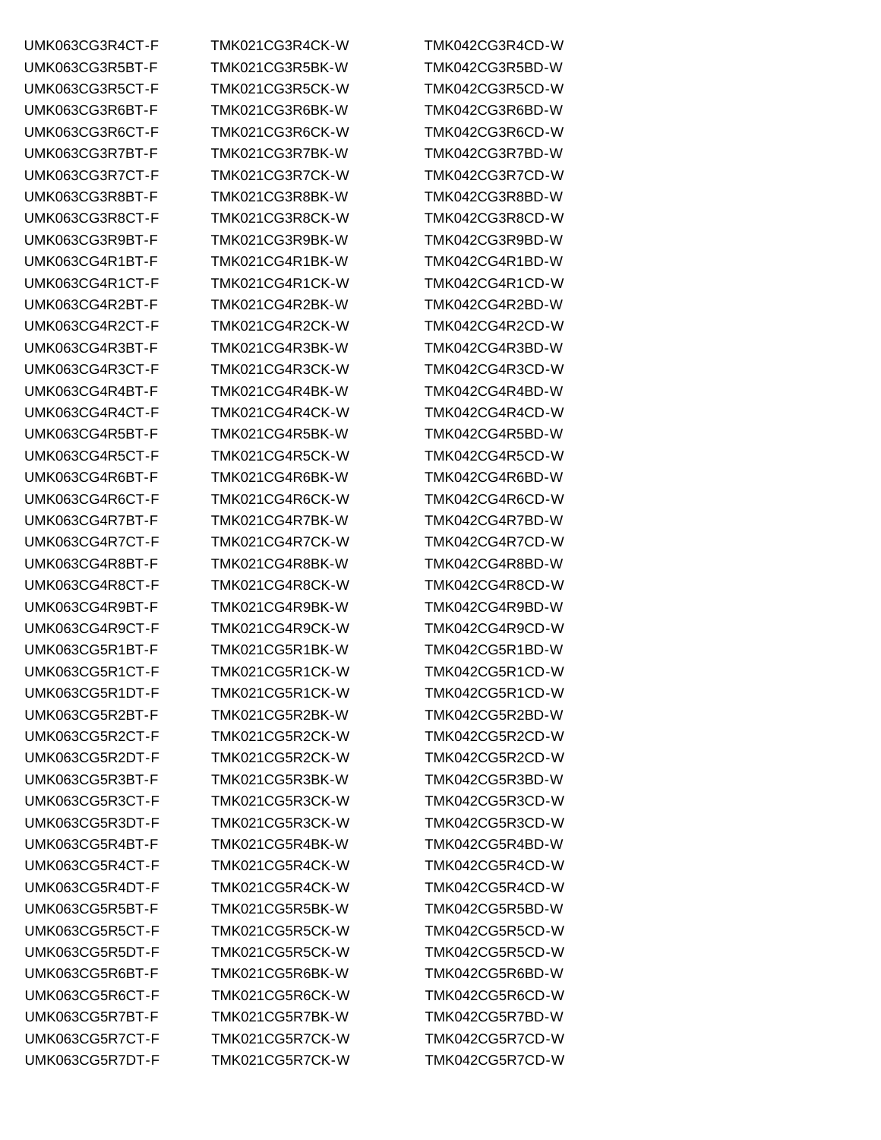UMK063CG3R8BT-F TMK021CG3R8BK-W TMK042CG3R8BD-W UMK063CG4R2BT-F TMK021CG4R2BK-W TMK042CG4R2BD-W UMK063CG4R6BT-F TMK021CG4R6BK-W TMK042CG4R6BD-W UMK063CG5R7DT-F TMK021CG5R7CK-W TMK042CG5R7CD-W

UMK063CG3R4CT-F TMK021CG3R4CK-W TMK042CG3R4CD-W UMK063CG3R5BT-F TMK021CG3R5BK-W TMK042CG3R5BD-W UMK063CG3R5CT-F TMK021CG3R5CK-W TMK042CG3R5CD-W UMK063CG3R6BT-F TMK021CG3R6BK-W TMK042CG3R6BD-W UMK063CG3R6CT-F TMK021CG3R6CK-W TMK042CG3R6CD-W UMK063CG3R7BT-F TMK021CG3R7BK-W TMK042CG3R7BD-W UMK063CG3R7CT-F TMK021CG3R7CK-W TMK042CG3R7CD-W UMK063CG3R8CT-F TMK021CG3R8CK-W TMK042CG3R8CD-W UMK063CG3R9BT-F TMK021CG3R9BK-W TMK042CG3R9BD-W UMK063CG4R1BT-F TMK021CG4R1BK-W TMK042CG4R1BD-W UMK063CG4R1CT-F TMK021CG4R1CK-W TMK042CG4R1CD-W UMK063CG4R2CT-F TMK021CG4R2CK-W TMK042CG4R2CD-W UMK063CG4R3BT-F TMK021CG4R3BK-W TMK042CG4R3BD-W UMK063CG4R3CT-F TMK021CG4R3CK-W TMK042CG4R3CD-W UMK063CG4R4BT-F TMK021CG4R4BK-W TMK042CG4R4BD-W UMK063CG4R4CT-F TMK021CG4R4CK-W TMK042CG4R4CD-W UMK063CG4R5BT-F TMK021CG4R5BK-W TMK042CG4R5BD-W UMK063CG4R5CT-F TMK021CG4R5CK-W TMK042CG4R5CD-W UMK063CG4R6CT-F TMK021CG4R6CK-W TMK042CG4R6CD-W UMK063CG4R7BT-F TMK021CG4R7BK-W TMK042CG4R7BD-W UMK063CG4R7CT-F TMK021CG4R7CK-W TMK042CG4R7CD-W UMK063CG4R8BT-F TMK021CG4R8BK-W TMK042CG4R8BD-W UMK063CG4R8CT-F TMK021CG4R8CK-W TMK042CG4R8CD-W UMK063CG4R9BT-F TMK021CG4R9BK-W TMK042CG4R9BD-W UMK063CG4R9CT-F TMK021CG4R9CK-W TMK042CG4R9CD-W UMK063CG5R1BT-F TMK021CG5R1BK-W TMK042CG5R1BD-W UMK063CG5R1CT-F TMK021CG5R1CK-W TMK042CG5R1CD-W UMK063CG5R1DT-F TMK021CG5R1CK-W TMK042CG5R1CD-W UMK063CG5R2BT-F TMK021CG5R2BK-W TMK042CG5R2BD-W UMK063CG5R2CT-F TMK021CG5R2CK-W TMK042CG5R2CD-W UMK063CG5R2DT-F TMK021CG5R2CK-W TMK042CG5R2CD-W UMK063CG5R3BT-F TMK021CG5R3BK-W TMK042CG5R3BD-W UMK063CG5R3CT-F TMK021CG5R3CK-W TMK042CG5R3CD-W UMK063CG5R3DT-F TMK021CG5R3CK-W TMK042CG5R3CD-W UMK063CG5R4BT-F TMK021CG5R4BK-W TMK042CG5R4BD-W UMK063CG5R4CT-F TMK021CG5R4CK-W TMK042CG5R4CD-W UMK063CG5R4DT-F TMK021CG5R4CK-W TMK042CG5R4CD-W UMK063CG5R5BT-F TMK021CG5R5BK-W TMK042CG5R5BD-W UMK063CG5R5CT-F TMK021CG5R5CK-W TMK042CG5R5CD-W UMK063CG5R5DT-F TMK021CG5R5CK-W TMK042CG5R5CD-W UMK063CG5R6BT-F TMK021CG5R6BK-W TMK042CG5R6BD-W UMK063CG5R6CT-F TMK021CG5R6CK-W TMK042CG5R6CD-W UMK063CG5R7BT-F TMK021CG5R7BK-W TMK042CG5R7BD-W UMK063CG5R7CT-F TMK021CG5R7CK-W TMK042CG5R7CD-W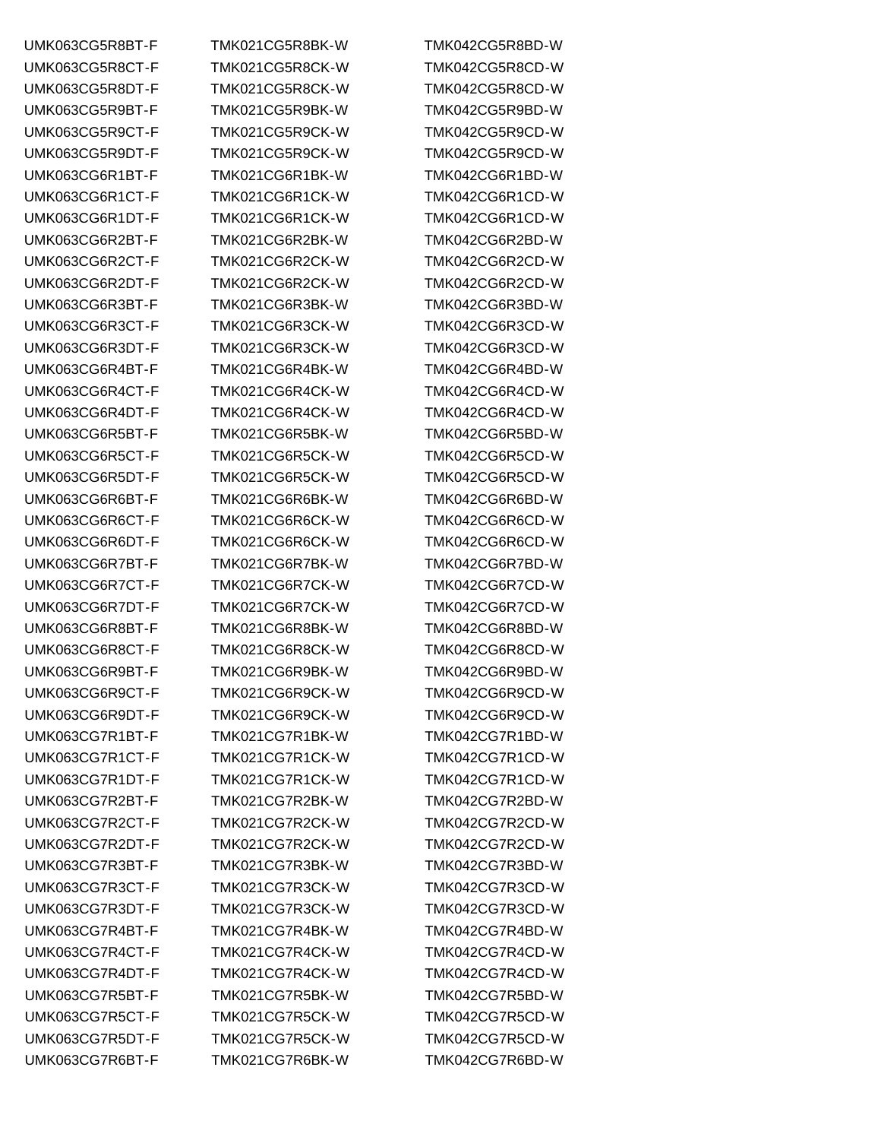UMK063CG5R8BT-F TMK021CG5R8BK-W TMK042CG5R8BD-W UMK063CG5R8CT-F TMK021CG5R8CK-W TMK042CG5R8CD-W UMK063CG5R8DT-F TMK021CG5R8CK-W TMK042CG5R8CD-W UMK063CG5R9BT-F TMK021CG5R9BK-W TMK042CG5R9BD-W UMK063CG5R9CT-F TMK021CG5R9CK-W TMK042CG5R9CD-W UMK063CG5R9DT-F TMK021CG5R9CK-W TMK042CG5R9CD-W UMK063CG6R1BT-F TMK021CG6R1BK-W TMK042CG6R1BD-W UMK063CG6R1CT-F TMK021CG6R1CK-W TMK042CG6R1CD-W UMK063CG6R1DT-F TMK021CG6R1CK-W TMK042CG6R1CD-W UMK063CG6R2BT-F TMK021CG6R2BK-W TMK042CG6R2BD-W UMK063CG6R2CT-F TMK021CG6R2CK-W TMK042CG6R2CD-W UMK063CG6R2DT-F TMK021CG6R2CK-W TMK042CG6R2CD-W UMK063CG6R3BT-F TMK021CG6R3BK-W TMK042CG6R3BD-W UMK063CG6R3CT-F TMK021CG6R3CK-W TMK042CG6R3CD-W UMK063CG6R3DT-F TMK021CG6R3CK-W TMK042CG6R3CD-W UMK063CG6R4BT-F TMK021CG6R4BK-W TMK042CG6R4BD-W UMK063CG6R4CT-F TMK021CG6R4CK-W TMK042CG6R4CD-W UMK063CG6R4DT-F TMK021CG6R4CK-W TMK042CG6R4CD-W UMK063CG6R5BT-F TMK021CG6R5BK-W TMK042CG6R5BD-W UMK063CG6R5CT-F TMK021CG6R5CK-W TMK042CG6R5CD-W UMK063CG6R5DT-F TMK021CG6R5CK-W TMK042CG6R5CD-W UMK063CG6R6BT-F TMK021CG6R6BK-W TMK042CG6R6BD-W UMK063CG6R6CT-F TMK021CG6R6CK-W TMK042CG6R6CD-W UMK063CG6R6DT-F TMK021CG6R6CK-W TMK042CG6R6CD-W UMK063CG6R7BT-F TMK021CG6R7BK-W TMK042CG6R7BD-W UMK063CG6R7CT-F TMK021CG6R7CK-W TMK042CG6R7CD-W UMK063CG6R7DT-F TMK021CG6R7CK-W TMK042CG6R7CD-W UMK063CG6R8BT-F TMK021CG6R8BK-W TMK042CG6R8BD-W UMK063CG6R8CT-F TMK021CG6R8CK-W TMK042CG6R8CD-W UMK063CG6R9BT-F TMK021CG6R9BK-W TMK042CG6R9BD-W UMK063CG6R9CT-F TMK021CG6R9CK-W TMK042CG6R9CD-W UMK063CG6R9DT-F TMK021CG6R9CK-W TMK042CG6R9CD-W UMK063CG7R1BT-F TMK021CG7R1BK-W TMK042CG7R1BD-W UMK063CG7R1CT-F TMK021CG7R1CK-W TMK042CG7R1CD-W UMK063CG7R1DT-F TMK021CG7R1CK-W TMK042CG7R1CD-W UMK063CG7R2BT-F TMK021CG7R2BK-W TMK042CG7R2BD-W UMK063CG7R2CT-F TMK021CG7R2CK-W TMK042CG7R2CD-W UMK063CG7R2DT-F TMK021CG7R2CK-W TMK042CG7R2CD-W UMK063CG7R3BT-F TMK021CG7R3BK-W TMK042CG7R3BD-W UMK063CG7R3CT-F TMK021CG7R3CK-W TMK042CG7R3CD-W UMK063CG7R3DT-F TMK021CG7R3CK-W TMK042CG7R3CD-W UMK063CG7R4BT-F TMK021CG7R4BK-W TMK042CG7R4BD-W UMK063CG7R4CT-F TMK021CG7R4CK-W TMK042CG7R4CD-W UMK063CG7R4DT-F TMK021CG7R4CK-W TMK042CG7R4CD-W UMK063CG7R5BT-F TMK021CG7R5BK-W TMK042CG7R5BD-W UMK063CG7R5CT-F TMK021CG7R5CK-W TMK042CG7R5CD-W UMK063CG7R5DT-F TMK021CG7R5CK-W TMK042CG7R5CD-W UMK063CG7R6BT-F TMK021CG7R6BK-W TMK042CG7R6BD-W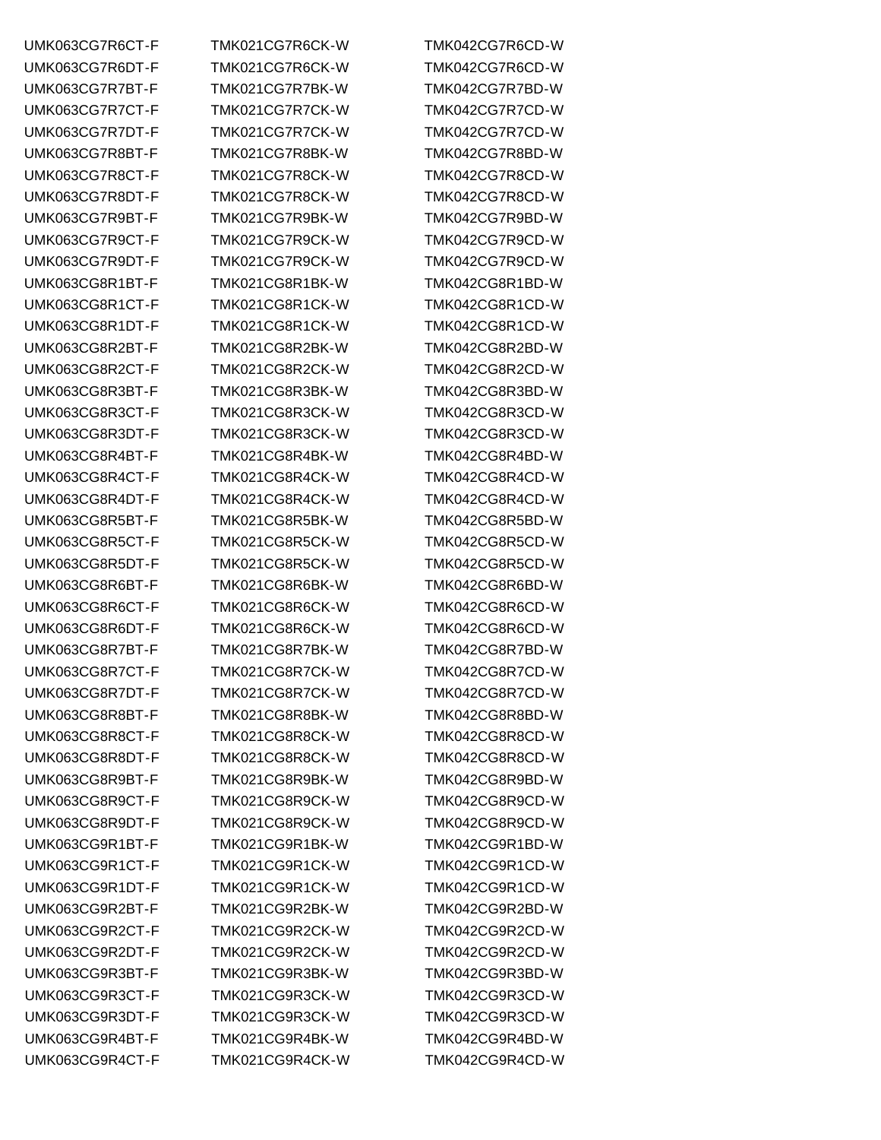UMK063CG7R6CT-F TMK021CG7R6CK-W TMK042CG7R6CD-W UMK063CG7R6DT-F TMK021CG7R6CK-W TMK042CG7R6CD-W UMK063CG7R7BT-F TMK021CG7R7BK-W TMK042CG7R7BD-W UMK063CG7R7CT-F TMK021CG7R7CK-W TMK042CG7R7CD-W UMK063CG7R7DT-F TMK021CG7R7CK-W TMK042CG7R7CD-W UMK063CG7R8BT-F TMK021CG7R8BK-W TMK042CG7R8BD-W UMK063CG7R8CT-F TMK021CG7R8CK-W TMK042CG7R8CD-W UMK063CG7R8DT-F TMK021CG7R8CK-W TMK042CG7R8CD-W UMK063CG7R9BT-F TMK021CG7R9BK-W TMK042CG7R9BD-W UMK063CG7R9CT-F TMK021CG7R9CK-W TMK042CG7R9CD-W UMK063CG7R9DT-F TMK021CG7R9CK-W TMK042CG7R9CD-W UMK063CG8R1BT-F TMK021CG8R1BK-W TMK042CG8R1BD-W UMK063CG8R1CT-F TMK021CG8R1CK-W TMK042CG8R1CD-W UMK063CG8R1DT-F TMK021CG8R1CK-W TMK042CG8R1CD-W UMK063CG8R2BT-F TMK021CG8R2BK-W TMK042CG8R2BD-W UMK063CG8R2CT-F TMK021CG8R2CK-W TMK042CG8R2CD-W UMK063CG8R3BT-F TMK021CG8R3BK-W TMK042CG8R3BD-W UMK063CG8R3CT-F TMK021CG8R3CK-W TMK042CG8R3CD-W UMK063CG8R3DT-F TMK021CG8R3CK-W TMK042CG8R3CD-W UMK063CG8R4BT-F TMK021CG8R4BK-W TMK042CG8R4BD-W UMK063CG8R4CT-F TMK021CG8R4CK-W TMK042CG8R4CD-W UMK063CG8R4DT-F TMK021CG8R4CK-W TMK042CG8R4CD-W UMK063CG8R5BT-F TMK021CG8R5BK-W TMK042CG8R5BD-W UMK063CG8R5CT-F TMK021CG8R5CK-W TMK042CG8R5CD-W UMK063CG8R5DT-F TMK021CG8R5CK-W TMK042CG8R5CD-W UMK063CG8R6BT-F TMK021CG8R6BK-W TMK042CG8R6BD-W UMK063CG8R6CT-F TMK021CG8R6CK-W TMK042CG8R6CD-W UMK063CG8R6DT-F TMK021CG8R6CK-W TMK042CG8R6CD-W UMK063CG8R7BT-F TMK021CG8R7BK-W TMK042CG8R7BD-W UMK063CG8R7CT-F TMK021CG8R7CK-W TMK042CG8R7CD-W UMK063CG8R7DT-F TMK021CG8R7CK-W TMK042CG8R7CD-W UMK063CG8R8BT-F TMK021CG8R8BK-W TMK042CG8R8BD-W UMK063CG8R8CT-F TMK021CG8R8CK-W TMK042CG8R8CD-W UMK063CG8R8DT-F TMK021CG8R8CK-W TMK042CG8R8CD-W UMK063CG8R9BT-F TMK021CG8R9BK-W TMK042CG8R9BD-W UMK063CG8R9CT-F TMK021CG8R9CK-W TMK042CG8R9CD-W UMK063CG8R9DT-F TMK021CG8R9CK-W TMK042CG8R9CD-W UMK063CG9R1BT-F TMK021CG9R1BK-W TMK042CG9R1BD-W UMK063CG9R1CT-F TMK021CG9R1CK-W TMK042CG9R1CD-W UMK063CG9R1DT-F TMK021CG9R1CK-W TMK042CG9R1CD-W UMK063CG9R2BT-F TMK021CG9R2BK-W TMK042CG9R2BD-W UMK063CG9R2CT-F TMK021CG9R2CK-W TMK042CG9R2CD-W UMK063CG9R2DT-F TMK021CG9R2CK-W TMK042CG9R2CD-W UMK063CG9R3BT-F TMK021CG9R3BK-W TMK042CG9R3BD-W UMK063CG9R3CT-F TMK021CG9R3CK-W TMK042CG9R3CD-W UMK063CG9R3DT-F TMK021CG9R3CK-W TMK042CG9R3CD-W UMK063CG9R4BT-F TMK021CG9R4BK-W TMK042CG9R4BD-W UMK063CG9R4CT-F TMK021CG9R4CK-W TMK042CG9R4CD-W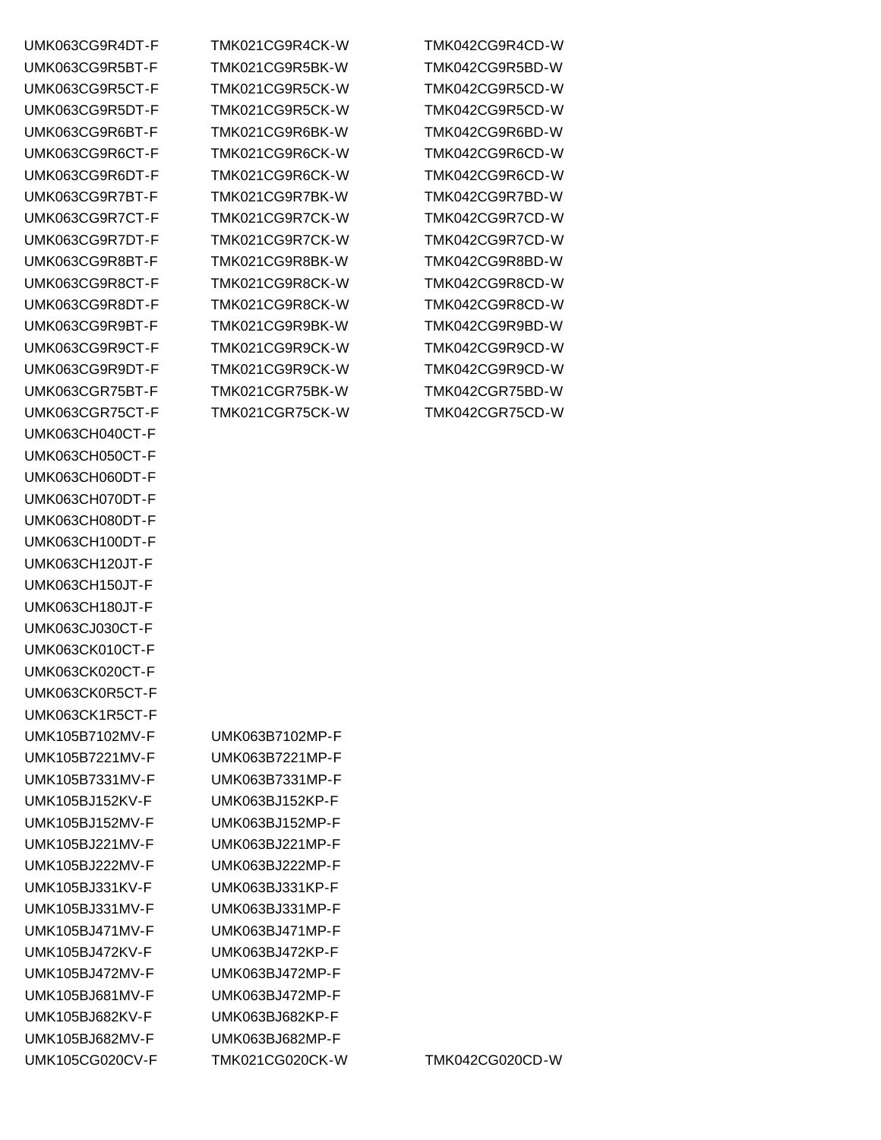UMK063CH040CT-F UMK063CH050CT-F UMK063CH060DT-F UMK063CH070DT-F UMK063CH080DT-F UMK063CH100DT-F UMK063CH120JT-F UMK063CH150JT-F UMK063CH180JT-F UMK063CJ030CT-F UMK063CK010CT-F UMK063CK020CT-F UMK063CK0R5CT-F UMK063CK1R5CT-F UMK105B7102MV-F UMK063B7102MP-F UMK105B7221MV-F UMK063B7221MP-F UMK105B7331MV-F UMK063B7331MP-F UMK105BJ152KV-F UMK063BJ152KP-F UMK105BJ152MV-F UMK063BJ152MP-F UMK105BJ221MV-F UMK063BJ221MP-F UMK105BJ222MV-F UMK063BJ222MP-F UMK105BJ331KV-F UMK063BJ331KP-F UMK105BJ331MV-F UMK063BJ331MP-F UMK105BJ471MV-F UMK063BJ471MP-F UMK105BJ472KV-F UMK063BJ472KP-F UMK105BJ472MV-F UMK063BJ472MP-F UMK105BJ681MV-F UMK063BJ472MP-F UMK105BJ682KV-F UMK063BJ682KP-F UMK105BJ682MV-F UMK063BJ682MP-F

UMK063CG9R4DT-F TMK021CG9R4CK-W TMK042CG9R4CD-W UMK063CG9R5BT-F TMK021CG9R5BK-W TMK042CG9R5BD-W UMK063CG9R5CT-F TMK021CG9R5CK-W TMK042CG9R5CD-W UMK063CG9R5DT-F TMK021CG9R5CK-W TMK042CG9R5CD-W UMK063CG9R6BT-F TMK021CG9R6BK-W TMK042CG9R6BD-W UMK063CG9R6CT-F TMK021CG9R6CK-W TMK042CG9R6CD-W UMK063CG9R6DT-F TMK021CG9R6CK-W TMK042CG9R6CD-W UMK063CG9R7BT-F TMK021CG9R7BK-W TMK042CG9R7BD-W UMK063CG9R7CT-F TMK021CG9R7CK-W TMK042CG9R7CD-W UMK063CG9R7DT-F TMK021CG9R7CK-W TMK042CG9R7CD-W UMK063CG9R8BT-F TMK021CG9R8BK-W TMK042CG9R8BD-W UMK063CG9R8CT-F TMK021CG9R8CK-W TMK042CG9R8CD-W UMK063CG9R8DT-F TMK021CG9R8CK-W TMK042CG9R8CD-W UMK063CG9R9BT-F TMK021CG9R9BK-W TMK042CG9R9BD-W UMK063CG9R9CT-F TMK021CG9R9CK-W TMK042CG9R9CD-W UMK063CG9R9DT-F TMK021CG9R9CK-W TMK042CG9R9CD-W UMK063CGR75BT-F TMK021CGR75BK-W TMK042CGR75BD-W UMK063CGR75CT-F TMK021CGR75CK-W TMK042CGR75CD-W

UMK105CG020CV-F TMK021CG020CK-W TMK042CG020CD-W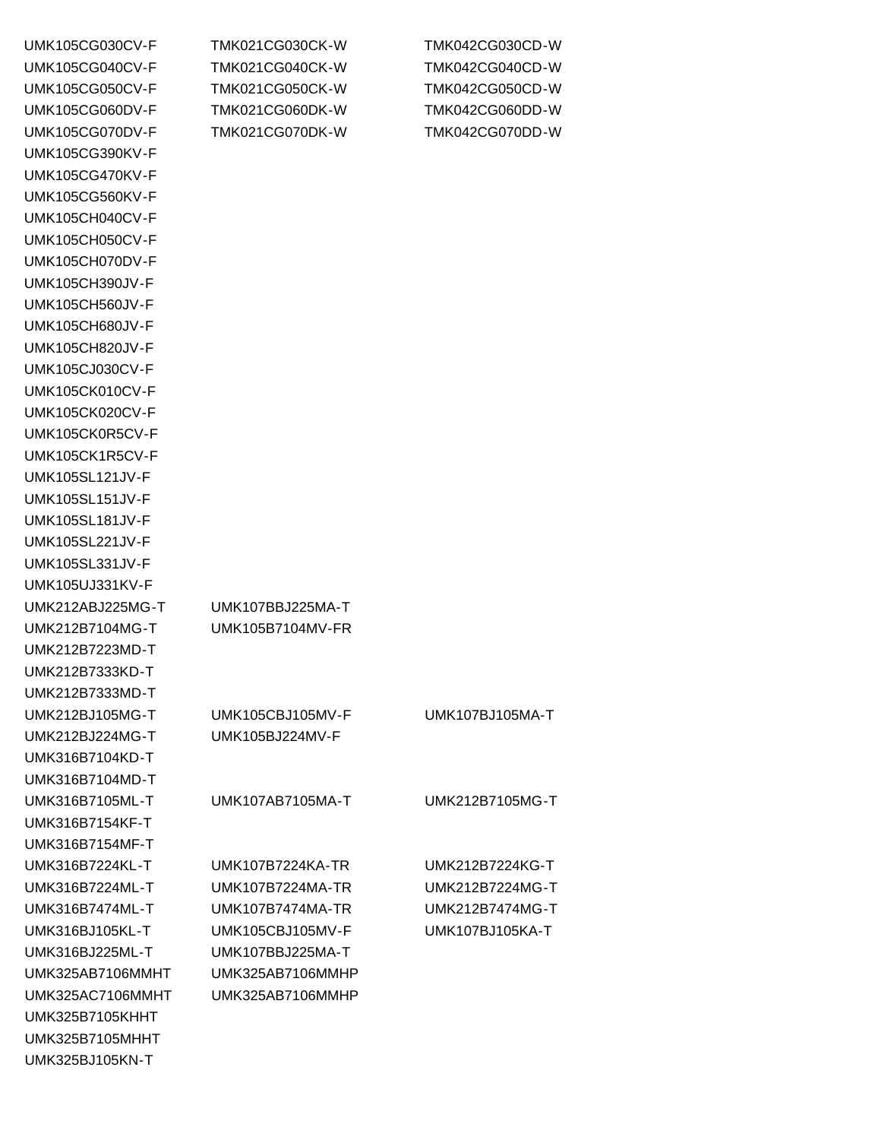| <b>UMK105CG030CV-F</b> | <b>TMK021CG030CK-W</b>  | TMK042CG030CD-W        |
|------------------------|-------------------------|------------------------|
| UMK105CG040CV-F        | <b>TMK021CG040CK-W</b>  | TMK042CG040CD-W        |
| <b>UMK105CG050CV-F</b> | <b>TMK021CG050CK-W</b>  | TMK042CG050CD-W        |
| UMK105CG060DV-F        | <b>TMK021CG060DK-W</b>  | <b>TMK042CG060DD-W</b> |
| UMK105CG070DV-F        | TMK021CG070DK-W         | TMK042CG070DD-W        |
| <b>UMK105CG390KV-F</b> |                         |                        |
| <b>UMK105CG470KV-F</b> |                         |                        |
| UMK105CG560KV-F        |                         |                        |
| <b>UMK105CH040CV-F</b> |                         |                        |
| <b>UMK105CH050CV-F</b> |                         |                        |
| UMK105CH070DV-F        |                         |                        |
| <b>UMK105CH390JV-F</b> |                         |                        |
| <b>UMK105CH560JV-F</b> |                         |                        |
| <b>UMK105CH680JV-F</b> |                         |                        |
| <b>UMK105CH820JV-F</b> |                         |                        |
| <b>UMK105CJ030CV-F</b> |                         |                        |
| UMK105CK010CV-F        |                         |                        |
| <b>UMK105CK020CV-F</b> |                         |                        |
|                        |                         |                        |
| UMK105CK0R5CV-F        |                         |                        |
| UMK105CK1R5CV-F        |                         |                        |
| <b>UMK105SL121JV-F</b> |                         |                        |
| <b>UMK105SL151JV-F</b> |                         |                        |
| <b>UMK105SL181JV-F</b> |                         |                        |
| <b>UMK105SL221JV-F</b> |                         |                        |
| <b>UMK105SL331JV-F</b> |                         |                        |
| <b>UMK105UJ331KV-F</b> |                         |                        |
| UMK212ABJ225MG-T       | UMK107BBJ225MA-T        |                        |
| UMK212B7104MG-T        | UMK105B7104MV-FR        |                        |
| UMK212B7223MD-T        |                         |                        |
| UMK212B7333KD-T        |                         |                        |
| UMK212B7333MD-T        |                         |                        |
| UMK212BJ105MG-T        | UMK105CBJ105MV-F        | UMK107BJ105MA-T        |
| UMK212BJ224MG-T        | UMK105BJ224MV-F         |                        |
| UMK316B7104KD-T        |                         |                        |
| UMK316B7104MD-T        |                         |                        |
| UMK316B7105ML-T        | UMK107AB7105MA-T        | UMK212B7105MG-T        |
| UMK316B7154KF-T        |                         |                        |
| UMK316B7154MF-T        |                         |                        |
| UMK316B7224KL-T        | <b>UMK107B7224KA-TR</b> | UMK212B7224KG-T        |
| UMK316B7224ML-T        | <b>UMK107B7224MA-TR</b> | UMK212B7224MG-T        |
| UMK316B7474ML-T        | <b>UMK107B7474MA-TR</b> | UMK212B7474MG-T        |
| UMK316BJ105KL-T        | <b>UMK105CBJ105MV-F</b> | UMK107BJ105KA-T        |
| UMK316BJ225ML-T        | UMK107BBJ225MA-T        |                        |
| UMK325AB7106MMHT       | UMK325AB7106MMHP        |                        |
| UMK325AC7106MMHT       | UMK325AB7106MMHP        |                        |
| <b>UMK325B7105KHHT</b> |                         |                        |
| UMK325B7105MHHT        |                         |                        |
| UMK325BJ105KN-T        |                         |                        |